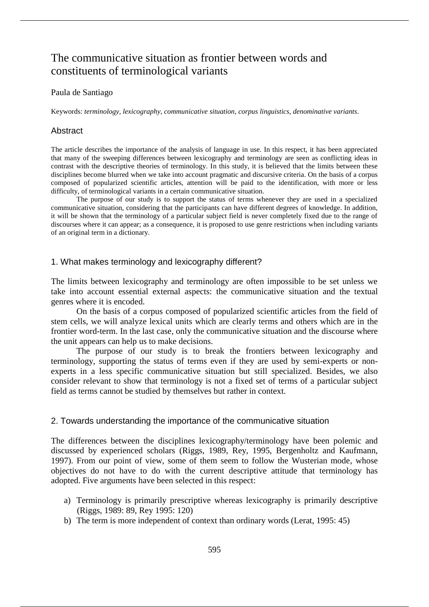# The communicative situation as frontier between words and constituents of terminological variants

### Paula de Santiago

Keywords: *terminology*, *lexicography*, *communicative situation*, *corpus linguistics*, *denominative variants*.

## Abstract

The article describes the importance of the analysis of language in use. In this respect, it has been appreciated that many of the sweeping differences between lexicography and terminology are seen as conflicting ideas in contrast with the descriptive theories of terminology. In this study, it is believed that the limits between these disciplines become blurred when we take into account pragmatic and discursive criteria. On the basis of a corpus composed of popularized scientific articles, attention will be paid to the identification, with more or less difficulty, of terminological variants in a certain communicative situation.

The purpose of our study is to support the status of terms whenever they are used in a specialized communicative situation, considering that the participants can have different degrees of knowledge. In addition, it will be shown that the terminology of a particular subject field is never completely fixed due to the range of discourses where it can appear; as a consequence, it is proposed to use genre restrictions when including variants of an original term in a dictionary.

## 1. What makes terminology and lexicography different?

The limits between lexicography and terminology are often impossible to be set unless we take into account essential external aspects: the communicative situation and the textual genres where it is encoded.

On the basis of a corpus composed of popularized scientific articles from the field of stem cells, we will analyze lexical units which are clearly terms and others which are in the frontier word-term. In the last case, only the communicative situation and the discourse where the unit appears can help us to make decisions.

The purpose of our study is to break the frontiers between lexicography and terminology, supporting the status of terms even if they are used by semi-experts or nonexperts in a less specific communicative situation but still specialized. Besides, we also consider relevant to show that terminology is not a fixed set of terms of a particular subject field as terms cannot be studied by themselves but rather in context.

### 2. Towards understanding the importance of the communicative situation

The differences between the disciplines lexicography/terminology have been polemic and discussed by experienced scholars (Riggs, 1989, Rey, 1995, Bergenholtz and Kaufmann, 1997). From our point of view, some of them seem to follow the Wusterian mode, whose objectives do not have to do with the current descriptive attitude that terminology has adopted. Five arguments have been selected in this respect:

- a) Terminology is primarily prescriptive whereas lexicography is primarily descriptive (Riggs, 1989: 89, Rey 1995: 120)
- b) The term is more independent of context than ordinary words (Lerat, 1995: 45)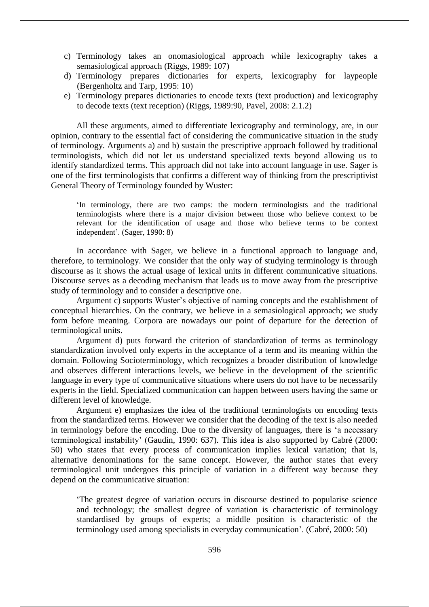- c) Terminology takes an onomasiological approach while lexicography takes a semasiological approach (Riggs, 1989: 107)
- d) Terminology prepares dictionaries for experts, lexicography for laypeople (Bergenholtz and Tarp, 1995: 10)
- e) Terminology prepares dictionaries to encode texts (text production) and lexicography to decode texts (text reception) (Riggs, 1989:90, Pavel, 2008: 2.1.2)

All these arguments, aimed to differentiate lexicography and terminology, are, in our opinion, contrary to the essential fact of considering the communicative situation in the study of terminology. Arguments a) and b) sustain the prescriptive approach followed by traditional terminologists, which did not let us understand specialized texts beyond allowing us to identify standardized terms. This approach did not take into account language in use. Sager is one of the first terminologists that confirms a different way of thinking from the prescriptivist General Theory of Terminology founded by Wuster:

'In terminology, there are two camps: the modern terminologists and the traditional terminologists where there is a major division between those who believe context to be relevant for the identification of usage and those who believe terms to be context independent'. (Sager, 1990: 8)

In accordance with Sager, we believe in a functional approach to language and, therefore, to terminology. We consider that the only way of studying terminology is through discourse as it shows the actual usage of lexical units in different communicative situations. Discourse serves as a decoding mechanism that leads us to move away from the prescriptive study of terminology and to consider a descriptive one.

Argument c) supports Wuster's objective of naming concepts and the establishment of conceptual hierarchies. On the contrary, we believe in a semasiological approach; we study form before meaning. Corpora are nowadays our point of departure for the detection of terminological units.

Argument d) puts forward the criterion of standardization of terms as terminology standardization involved only experts in the acceptance of a term and its meaning within the domain. Following Socioterminology, which recognizes a broader distribution of knowledge and observes different interactions levels, we believe in the development of the scientific language in every type of communicative situations where users do not have to be necessarily experts in the field. Specialized communication can happen between users having the same or different level of knowledge.

Argument e) emphasizes the idea of the traditional terminologists on encoding texts from the standardized terms. However we consider that the decoding of the text is also needed in terminology before the encoding. Due to the diversity of languages, there is 'a necessary terminological instability' (Gaudin, 1990: 637). This idea is also supported by Cabré (2000: 50) who states that every process of communication implies lexical variation; that is, alternative denominations for the same concept. However, the author states that every terminological unit undergoes this principle of variation in a different way because they depend on the communicative situation:

'The greatest degree of variation occurs in discourse destined to popularise science and technology; the smallest degree of variation is characteristic of terminology standardised by groups of experts; a middle position is characteristic of the terminology used among specialists in everyday communication'. (Cabré, 2000: 50)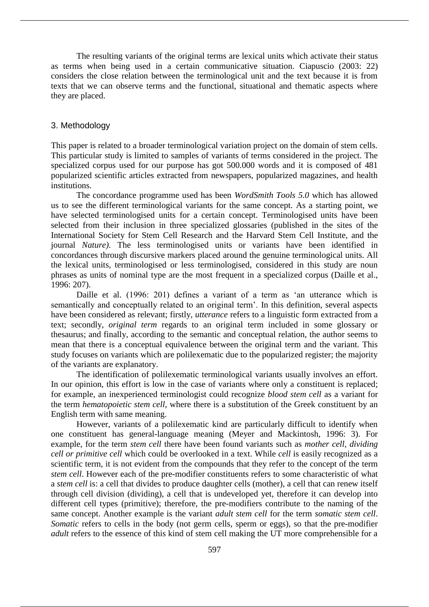The resulting variants of the original terms are lexical units which activate their status as terms when being used in a certain communicative situation. Ciapuscio (2003: 22) considers the close relation between the terminological unit and the text because it is from texts that we can observe terms and the functional, situational and thematic aspects where they are placed.

#### 3. Methodology

This paper is related to a broader terminological variation project on the domain of stem cells. This particular study is limited to samples of variants of terms considered in the project. The specialized corpus used for our purpose has got 500.000 words and it is composed of 481 popularized scientific articles extracted from newspapers, popularized magazines, and health institutions.

The concordance programme used has been *WordSmith Tools 5.0* which has allowed us to see the different terminological variants for the same concept. As a starting point, we have selected terminologised units for a certain concept. Terminologised units have been selected from their inclusion in three specialized glossaries (published in the sites of the International Society for Stem Cell Research and the Harvard Stem Cell Institute, and the journal *Nature)*. The less terminologised units or variants have been identified in concordances through discursive markers placed around the genuine terminological units. All the lexical units, terminologised or less terminologised, considered in this study are noun phrases as units of nominal type are the most frequent in a specialized corpus (Daille et al., 1996: 207).

Daille et al. (1996: 201) defines a variant of a term as 'an utterance which is semantically and conceptually related to an original term'. In this definition, several aspects have been considered as relevant; firstly, *utterance* refers to a linguistic form extracted from a text; secondly, *original term* regards to an original term included in some glossary or thesaurus; and finally, according to the semantic and conceptual relation, the author seems to mean that there is a conceptual equivalence between the original term and the variant. This study focuses on variants which are polilexematic due to the popularized register; the majority of the variants are explanatory.

The identification of polilexematic terminological variants usually involves an effort. In our opinion, this effort is low in the case of variants where only a constituent is replaced; for example, an inexperienced terminologist could recognize *blood stem cell* as a variant for the term *hematopoietic stem cell*, where there is a substitution of the Greek constituent by an English term with same meaning.

However, variants of a polilexematic kind are particularly difficult to identify when one constituent has general-language meaning (Meyer and Mackintosh, 1996: 3). For example, for the term *stem cell* there have been found variants such as *mother cell, dividing cell or primitive cell* which could be overlooked in a text. While *cell* is easily recognized as a scientific term, it is not evident from the compounds that they refer to the concept of the term *stem cell*. However each of the pre-modifier constituents refers to some characteristic of what a *stem cell* is: a cell that divides to produce daughter cells (mother), a cell that can renew itself through cell division (dividing), a cell that is undeveloped yet, therefore it can develop into different cell types (primitive); therefore, the pre-modifiers contribute to the naming of the same concept. Another example is the variant *adult stem cell* for the term *somatic stem cell*. *Somatic* refers to cells in the body (not germ cells, sperm or eggs), so that the pre-modifier *adult* refers to the essence of this kind of stem cell making the UT more comprehensible for a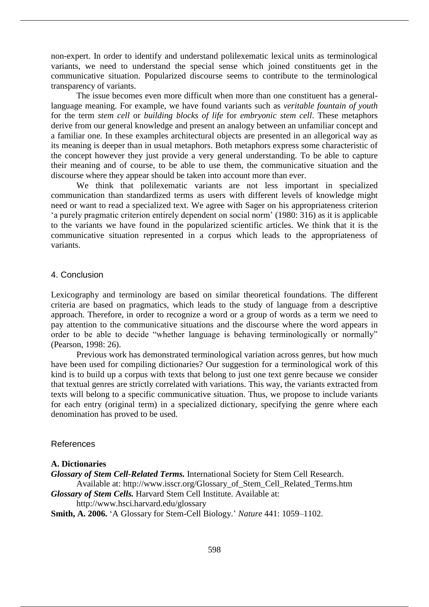non-expert. In order to identify and understand polilexematic lexical units as terminological variants, we need to understand the special sense which joined constituents get in the communicative situation. Popularized discourse seems to contribute to the terminological transparency of variants.

The issue becomes even more difficult when more than one constituent has a generallanguage meaning. For example, we have found variants such as *veritable fountain of youth* for the term *stem cell* or *building blocks of life* for *embryonic stem cell*. These metaphors derive from our general knowledge and present an analogy between an unfamiliar concept and a familiar one. In these examples architectural objects are presented in an allegorical way as its meaning is deeper than in usual metaphors. Both metaphors express some characteristic of the concept however they just provide a very general understanding. To be able to capture their meaning and of course, to be able to use them, the communicative situation and the discourse where they appear should be taken into account more than ever.

We think that polilexematic variants are not less important in specialized communication than standardized terms as users with different levels of knowledge might need or want to read a specialized text. We agree with Sager on his appropriateness criterion 'a purely pragmatic criterion entirely dependent on social norm' (1980: 316) as it is applicable to the variants we have found in the popularized scientific articles. We think that it is the communicative situation represented in a corpus which leads to the appropriateness of variants.

#### 4. Conclusion

Lexicography and terminology are based on similar theoretical foundations. The different criteria are based on pragmatics, which leads to the study of language from a descriptive approach. Therefore, in order to recognize a word or a group of words as a term we need to pay attention to the communicative situations and the discourse where the word appears in order to be able to decide "whether language is behaving terminologically or normally" (Pearson, 1998: 26).

Previous work has demonstrated terminological variation across genres, but how much have been used for compiling dictionaries? Our suggestion for a terminological work of this kind is to build up a corpus with texts that belong to just one text genre because we consider that textual genres are strictly correlated with variations. This way, the variants extracted from texts will belong to a specific communicative situation. Thus, we propose to include variants for each entry (original term) in a specialized dictionary, specifying the genre where each denomination has proved to be used.

#### References

### **A. Dictionaries**

*Glossary of Stem Cell-Related Terms.* International Society for Stem Cell Research. Available at: http://www.isscr.org/Glossary\_of\_Stem\_Cell\_Related\_Terms.htm *Glossary of Stem Cells.* Harvard Stem Cell Institute. Available at: http://www.hsci.harvard.edu/glossary **Smith, A. 2006.** 'A Glossary for Stem-Cell Biology.' *Nature* 441: 1059–1102.